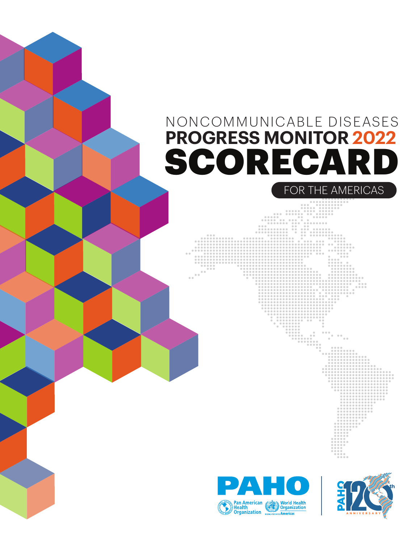## SCORECARD FOR THE AMERICAS NONCOMMUNICABLE DISEASES **PROGRESS MONITOR 2022**



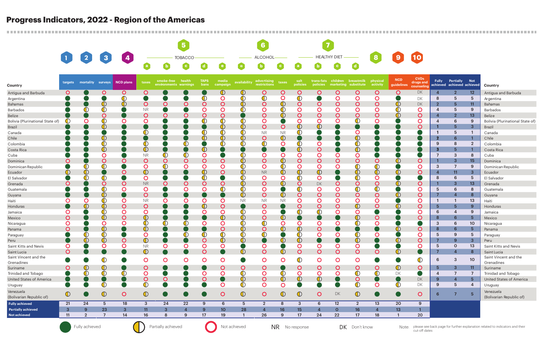|                                       |                |                             |                         | 1234             | <b>TOBACCO</b><br><u> Albanya (Albanya) a shekara ta 1999 a shekara ta 1999 a shekara ta 1999 a shekara ta 1991 a shekara ta 1991 a </u> |                                            |                |                     |                   | ALCOHOL-<br>$\overline{\phantom{a}}$ |                             |                    |                            | <b>HEALTHY DIET</b><br><u> The Communication</u> |                       |                                                        |                                                                             | $\boxed{9}$              | $\boxed{10}$                           |                    |                                                |                   |                                       |
|---------------------------------------|----------------|-----------------------------|-------------------------|------------------|------------------------------------------------------------------------------------------------------------------------------------------|--------------------------------------------|----------------|---------------------|-------------------|--------------------------------------|-----------------------------|--------------------|----------------------------|--------------------------------------------------|-----------------------|--------------------------------------------------------|-----------------------------------------------------------------------------|--------------------------|----------------------------------------|--------------------|------------------------------------------------|-------------------|---------------------------------------|
|                                       |                |                             |                         |                  |                                                                                                                                          | $\bullet$                                  | $\bullet$      | $\bullet$           | $\bullet$         | $\bullet$                            | $\bullet$                   | $\bullet$          | $\bullet$                  | $\bullet$                                        | $\bullet$             | $\mathbf{d}$                                           | $\begin{array}{ c c } \hline \mathbf{3} & \mathbf{5} \\ \hline \end{array}$ |                          |                                        |                    |                                                |                   |                                       |
| Country                               | targets        | mortality surveys           |                         | <b>NCD plans</b> | taxes                                                                                                                                    | smoke-free health<br>environments warnings |                | <b>TAPS</b><br>bans | media<br>campaign | availability                         | advertising<br>restrictions | taxes              | salt<br>policies           | policies                                         |                       | trans-fats children breastmilk<br>marketing substitute | physical<br>activity                                                        | <b>NCD</b><br>guidelines | <b>CVDs</b><br>drugs and<br>counseling | <b>Fully</b>       | <b>Partially</b><br>achieved achieved achieved | <b>Not</b>        | Country                               |
| Antigua and Barbuda                   | O              |                             | O                       | $\overline{O}$   | O                                                                                                                                        |                                            |                |                     | $\bigcirc$        | $\bigcirc$                           | $\mathsf{O}$                |                    | $\mathbf O$                | O                                                | $\mathbf{\mathsf{O}}$ | C                                                      | $\mathbf O$                                                                 | O                        | DK                                     | 4                  | $\overline{2}$                                 | 12                | Antigua and Barbuda                   |
| Argentina                             |                |                             |                         | $\mathbb O$      |                                                                                                                                          |                                            |                |                     | O                 | $\mathbb O$                          | $\, \mathbb{C} \,$          | O                  | $\mathbb O$                |                                                  | O                     |                                                        | O                                                                           |                          | DK                                     | -8                 | 5                                              | 5                 | Argentina                             |
| <b>Bahamas</b>                        |                |                             | $\mathbb O$             | $\bigcirc$       | O                                                                                                                                        | O                                          | O              | O                   | O                 | $\bigcirc$                           | $\mathbf O$                 | $\mathbb{O}$       | $\mathsf{O}$               | O                                                | $\mathbf{\mathsf{O}}$ |                                                        | $\mathbf{\mathsf{O}}$                                                       | $\mathbb O$              | DK                                     | $\overline{2}$     | 5                                              | 11                | Bahamas                               |
| Barbados                              |                | Œ                           | $\mathbb O$             |                  | <b>NR</b>                                                                                                                                |                                            |                |                     | O                 | $\bigcirc$                           | $\mathsf{O}$                | $\, \mathbb{O} \,$ | O                          | O                                                | O                     |                                                        | O                                                                           | $\mathbb O$              | $\mathsf O$                            |                    | 5                                              | 9                 | <b>Barbados</b>                       |
| Belize                                |                |                             | O                       |                  | $\mathbf O$                                                                                                                              | O                                          | $\mathbf C$    | C                   | C                 |                                      | $\mathsf{O}$                | $\mathbb{O}$       | O                          | O                                                | $\mathbf{\mathsf{O}}$ |                                                        | $\mathbf{\mathsf{O}}$                                                       | $\bigcirc$               | $\mathsf{O}$                           |                    | $\overline{2}$                                 | 13                | Belize                                |
| Bolivia (Plurinational State of)      |                | O                           | $\mathbb O$             | O                | O                                                                                                                                        |                                            |                | $\mathbb{C}$        | $\mathbb{O}$      | $\mathbb{O}$                         | $\mathbf{O}$                |                    | O                          | O                                                | O                     |                                                        | O                                                                           |                          | $\mathbf O$                            |                    | 6                                              | 9                 | Bolivia (Plurinational State of)      |
| <b>Brazil</b>                         |                |                             | $\mathbb O$             |                  |                                                                                                                                          |                                            |                |                     | $\bigcirc$        | $\mathbb{O}$                         | $\mathsf{O}$                | O                  | $\mathbb O$                | $\mathbb O$                                      |                       |                                                        |                                                                             |                          | $\mathbf O$                            |                    | 5                                              | $\mathbf{3}$      | Brazil                                |
| Canada                                |                |                             |                         |                  | $\, \mathbb{O} \,$                                                                                                                       |                                            |                |                     | $\mathbb O$       | $\mathbb O$                          | <b>NR</b>                   | <b>NR</b>          | $\mathbb O$                |                                                  |                       |                                                        |                                                                             |                          |                                        |                    | 5                                              |                   | Canada                                |
| Chile                                 |                |                             | $\mathbb O$             |                  |                                                                                                                                          |                                            |                | $\mathbb{C}$        | $\mathbb O$       | $\mathbb{O}$                         | $\mathbf O$                 | $\mathbb{O}$       |                            |                                                  |                       | $\mathbb O$                                            |                                                                             |                          |                                        | -2                 | 6                                              |                   | Chile                                 |
| Colombia                              |                |                             | $\, \mathbb{O} \,$      |                  | $\mathbb O$                                                                                                                              |                                            | $\mathbb O$    |                     | $\bigcirc$        | $\mathbb{C}$                         | $\bigcirc$                  |                    | $\mathbb O$                | O                                                |                       | $\mathbb O$                                            |                                                                             |                          |                                        | 9                  | 8                                              | $\overline{2}$    | Colombia                              |
| Costa Rica                            |                |                             | $\mathbb O$             |                  | $\mathbb O$                                                                                                                              |                                            |                | $\bigcirc$          |                   |                                      |                             |                    | $\bigcirc$                 | $\mathbf O$                                      |                       | $\bigcirc$                                             |                                                                             |                          |                                        | -3<br>$\mathbf{z}$ | 5                                              |                   | Costa Rica                            |
| Cuba                                  |                |                             | C                       |                  | <b>NR</b>                                                                                                                                | $\mathbb C$                                |                | C                   |                   | Œ                                    | $\mathsf{O}$                |                    | O                          | O                                                | O                     |                                                        |                                                                             |                          |                                        |                    | 3                                              | 8                 | Cuba                                  |
| Dominica                              | ◯              |                             | O                       | O                | $\mathbf{\mathsf{O}}$                                                                                                                    | $\mathsf{O}$<br>$\mathbb{O}$               | O              | $\mathbf O$         | O                 | $\mathbb{O}$                         | $\mathsf{O}$                | $\mathbb{O}$       | $\mathsf{O}$               | $\mathbf O$                                      | $\mathbf{\mathsf{O}}$ |                                                        | O                                                                           | $\mathbb O$              | $\mathbf O$                            |                    | 3<br>$\overline{ }$                            | 15                | Dominica                              |
| Dominican Republic                    |                | $\mathbb{O}$<br>$\mathbb O$ | $\mathbb O$             |                  | O                                                                                                                                        |                                            | O              | O<br>$\bigcirc$     | O<br>O            | $\mathbb{O}$                         | $\mathbf O$                 | $\bigoplus$        | $\mathsf{O}$<br>$\bigcirc$ | O<br>$\bigcirc$                                  | O                     |                                                        | $\bigcirc$                                                                  | $\mathbb O$              | $\mathsf{O}$<br>$\mathbf O$            | 3                  |                                                | 9                 | Dominican Republic                    |
| Ecuador                               | $\mathbb O$    |                             |                         | O                | $\mathbb O$<br>O                                                                                                                         |                                            |                |                     |                   | $\bigcirc$<br>$\mathbb{O}$           | <b>NR</b><br>$\mathsf{O}$   | $\mathbb{O}$       | $\mathbb O$                | O                                                |                       | $\mathbb O$                                            | $\bigcirc$<br>O                                                             |                          |                                        | -4<br>-8           | 11<br>6                                        | $\mathbf{3}$<br>5 | Ecuador                               |
| El Salvador                           |                |                             | O                       | O                | <b>NR</b>                                                                                                                                | $\mathbf O$                                | O              | O                   | C                 | $\mathbb{O}$                         | $\mathbf O$                 | $\mathbb{O}$       | $\mathbf{O}$               |                                                  | O                     |                                                        | O                                                                           | $\mathbb O$              | O                                      |                    | 3                                              | 13                | El Salvador                           |
| Grenada<br>Guatemala                  |                |                             | $\mathbb O$             | $\mathbf{O}$     | O                                                                                                                                        |                                            | O              | O                   | $\bigcirc$        | $\mathbb O$                          | $\mathbf O$                 |                    | $\mathbb O$                | DK<br>O                                          | O                     | $\bigcirc$                                             | $\mathbb O$                                                                 |                          | $\mathbf O$                            | 5                  | 6                                              | 8                 | Grenada<br>Guatemala                  |
| Guyana                                |                |                             | $\mathbb O$             |                  | $\mathbf O$                                                                                                                              |                                            |                |                     |                   | $\mathbb{O}$                         | $\mathsf{O}$                | $\mathbb{O}$       | $\mathsf{O}$               | $\mathbf O$                                      | $\mathsf O$           |                                                        | O                                                                           | $\mathbb O$              | $\mathsf{O}$                           |                    | $\boldsymbol{A}$                               | 8                 |                                       |
| Haiti                                 |                | C                           | $\mathbb O$             | O                | <b>NR</b>                                                                                                                                | O                                          | O              | C                   | C                 | <b>NR</b>                            | <b>NR</b>                   | <b>NR</b>          | O                          | O                                                | O                     |                                                        | O                                                                           |                          | O                                      |                    |                                                | 13                | Guyana<br>Haiti                       |
| Honduras                              |                | $\mathbb O$                 | $\mathbb O$             | $\mathsf{O}$     | $\mathbf O$                                                                                                                              |                                            |                | $\bigcirc$          | O                 |                                      | $\mathsf{O}$                |                    | $\mathsf{O}$               | O                                                | $\mathbf{\mathsf{O}}$ | $\mathbb O$                                            | O                                                                           | $\mathbb O$              | $\mathsf{O}$                           | $5\phantom{1}$     | 5                                              | 9                 | Honduras                              |
| Jamaica                               | O              |                             | $\mathbb O$             | $\mathbf{O}$     | O                                                                                                                                        |                                            |                | O                   | O                 | $\mathbb{O}$                         | $\mathbf O$                 |                    | $\mathbb O$                | $\bigcirc$                                       | O                     | O                                                      |                                                                             |                          | $\mathsf{O}$                           | 6                  | 4                                              | 9                 | Jamaica                               |
| Mexico                                | O              |                             | $\mathbb O$             | O                | $\mathbb O$                                                                                                                              |                                            |                |                     | $\mathbb{O}$      | $\mathbb O$                          | $\mathsf{O}$                | $\mathbb{O}$       |                            |                                                  |                       | $\mathbb O$                                            | C                                                                           |                          | $\mathbf O$                            | 8                  | 6                                              | $5^{\circ}$       | Mexico                                |
| Nicaragua                             | O              |                             | O                       | O                | $\mathbb O$                                                                                                                              |                                            | Œ              |                     |                   | $\mathbb O$                          | $\bigcirc$                  |                    | $\mathbf O$                | O                                                |                       |                                                        | O                                                                           |                          |                                        | 3                  | 6                                              | 10                | Nicaragua                             |
| Panama                                | O              |                             | $\overline{\mathbb{O}}$ |                  | $\mathbb O$                                                                                                                              |                                            |                |                     | C                 | $\mathbb{O}$                         | $\mathsf{O}$                | $\bigcirc$         | $\bigcirc$                 | $\mathbf O$                                      |                       |                                                        |                                                                             | ◑                        | $\mathbf O$                            | 8                  | 6                                              | 5                 | Panama                                |
| Paraguay                              |                |                             | ∩                       |                  | ∩                                                                                                                                        |                                            | ∩              |                     |                   | ∩                                    | ∩                           |                    | ∩                          | ∩                                                | ∩                     |                                                        | ⊂                                                                           |                          | $\cap$                                 | 5                  | $\mathbf{Q}$                                   | 5                 | Paraguay                              |
| Peru                                  |                | $\mathbb O$                 | $\mathbb{O}$            | $\bigcirc$       | $\bigcirc$                                                                                                                               |                                            |                | $\mathbf O$         | $\bigcirc$        | $\mathbb{O}$                         |                             | $\mathbb{O}$       | $\bigcirc$                 |                                                  |                       | $\bigcirc$                                             |                                                                             | $\mathbb O$              | $\circ$                                | $\overline{7}$     | 9                                              | $\mathbf{3}$      | Peru                                  |
| Saint Kitts and Nevis                 | $\mathbf O$    |                             | O                       | $\mathsf{O}$     | <b>NR</b>                                                                                                                                | $\mathsf{O}$                               | $\mathsf{O}$   | $\mathbf O$         | $\mathbf O$       |                                      | $\mathbf O$                 |                    | $\overline{O}$             | O                                                | $\mathbf O$           | $\mathbf O$                                            |                                                                             |                          | $\mathsf{O}$                           | $5\phantom{1}$     | $\mathbf 0$                                    | 13                | Saint Kitts and Nevis                 |
| Saint Lucia                           | $\overline{O}$ |                             |                         | $\bullet$        | $\bigcirc$                                                                                                                               |                                            |                | $\circ$             |                   | $\bigcirc$                           | $\circ$                     | $\bigcirc$         | $\overline{O}$             | $\overline{O}$                                   | $\overline{O}$        | $\overline{O}$                                         | $\mathsf{O}$                                                                | $\bigcirc$               |                                        |                    | $\overline{4}$                                 | 8 <sup>°</sup>    | Saint Lucia                           |
| Saint Vincent and the<br>Grenadines   | $\bullet$      |                             | $\bigcirc$              |                  | $\mathbf O$                                                                                                                              | $\mathbf{O}$                               | $\mathbf{O}$   | $\mathbf O$         | $\mathbf O$       |                                      | $\overline{O}$              | $\mathsf{O}$       | $\bigcirc$                 | $\mathbf{O}$                                     | $\overline{O}$        | $\mathbf{O}$                                           |                                                                             |                          | $\bigcirc$                             | 6                  | $\mathbf{3}$                                   | 10                | Saint Vincent and the<br>Grenadines   |
| Suriname                              | $\mathsf{O}$   | $\bigcirc$                  | $\bigcirc$              |                  | $\mathbf O$                                                                                                                              |                                            |                |                     | $\mathbf O$       | $\overline{O}$                       | $\overline{O}$              |                    | $\mathsf{O}$               | $\mathbf O$                                      | $\mathbf O$           | $\mathsf{O}$                                           | $\mathbf{O}$                                                                | $\mathbb{O}$             | $\mathbf{O}$                           | $\sqrt{5}$         | $\mathbf{3}$                                   | 11                | Suriname                              |
| Trinidad and Tobago                   |                | $\mathbb O$                 | $\mathbb O$             | $\mathbb O$      | $\mathbf O$                                                                                                                              |                                            |                | $\mathsf{O}$        | $\mathbf O$       | $\mathbb O$                          | $\overline{O}$              | $\bigcirc$         | $\overline{O}$             | $\mathbf{O}$                                     | $\mathbf O$           | $\bigcirc$                                             | $\bigcirc$                                                                  | DK                       |                                        | $\overline{4}$     | $\overline{7}$                                 | $\overline{7}$    | Trinidad and Tobago                   |
| <b>United States of America</b>       |                |                             |                         |                  | $\bigcirc$                                                                                                                               | $\circ$                                    |                | $\mathbf O$         |                   | $\bigcirc$                           | $\bigcirc$                  | $\bigcirc$         | $\bigcirc$                 | $\bigcirc$                                       |                       | $\circ$                                                |                                                                             |                          | DK                                     | 9                  | $\overline{4}$                                 | $5\overline{)}$   | United States of America              |
| Uruguay                               | O              |                             | $\mathbb O$             |                  | $\bigcirc$                                                                                                                               |                                            |                |                     | $\mathsf O$       | $\bigcirc$                           | $\overline{O}$              | O                  |                            | $\bullet$                                        |                       | $\bigcirc$                                             | O                                                                           | $\mathbb O$              | DK                                     | 9                  | 5                                              | 4                 | Uruguay                               |
| Venezuela<br>(Bolivarian Republic of) | $\bigcirc$     |                             | $\bigcirc$              | $\overline{O}$   | $\bigcirc$                                                                                                                               |                                            |                |                     | $\overline{O}$    | $\bigcirc$                           | $\circ$                     | $\bigcirc$         | $\bigcirc$                 | $\mathbf O$                                      | DK                    | $\bigcirc$                                             |                                                                             |                          | $\circ$                                | 6                  |                                                | $5\phantom{1}$    | Venezuela<br>(Bolivarian Republic of) |
| <b>Fully achieved</b>                 | 21             | 24                          | 5                       | 18               | $\mathbf{3}$                                                                                                                             | 24                                         | 22             | 9                   | 6                 | 5                                    | $\overline{2}$              | 8                  | $\mathbf{3}$               | 6                                                | 12                    | $\overline{2}$                                         | 13                                                                          | 20                       | 9                                      |                    |                                                |                   |                                       |
| <b>Partially achieved</b>             | $\mathbf{3}$   | 9                           | 23                      | 3 <sup>5</sup>   | 11                                                                                                                                       | $\mathbf{3}$                               | $\overline{4}$ | 9                   | 10 <sub>1</sub>   | 28                                   | $\overline{4}$              | 16                 | 15                         | 4                                                | $\mathbf{O}$          | 16                                                     | $\overline{4}$                                                              | 13 <sup>°</sup>          | 1                                      |                    |                                                |                   |                                       |
| Not achieved                          | 11             | $\overline{2}$              | $\overline{7}$          | 14               | 16                                                                                                                                       | 8                                          | 9              | 17                  | 19                | $\mathbf{1}$                         | 26                          | 9                  | 17                         | 24                                               | 22                    | 17                                                     | 18                                                                          | $\mathbf{1}$             | 20                                     |                    |                                                |                   |                                       |



Fully achieved **Partially achieved Not achieved Not achieved Not achieved Not achieved Not achieved Not achieved** Not esponse D**on't know** Note: please see back page for further explanation related to indicators and their cut-off dates

## **Progress Indicators, 2022 - Region of the Americas**